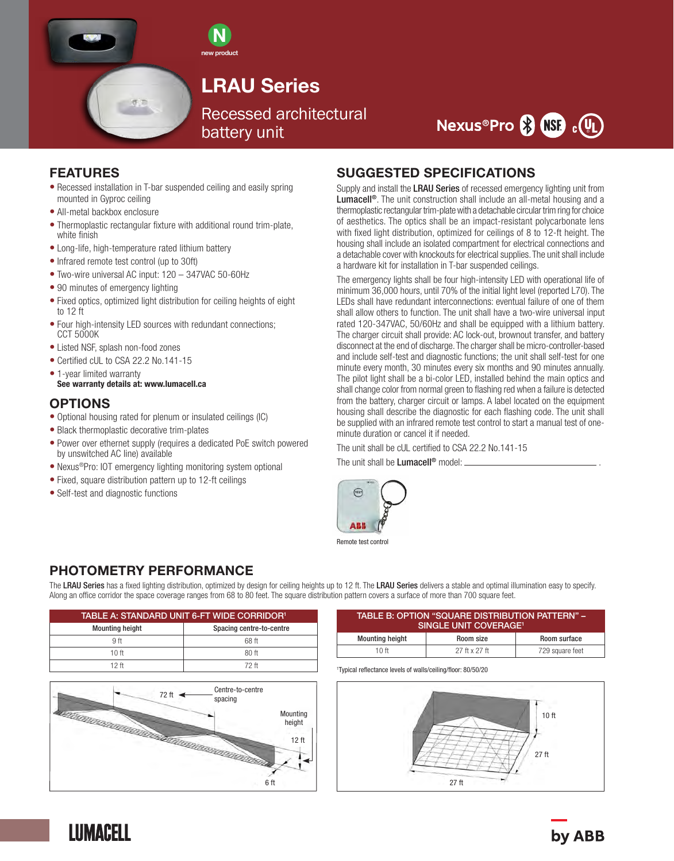

N new product

# LRAU Series

Recessed architectural battery unit



#### FEATURES

- Recessed installation in T-bar suspended ceiling and easily spring mounted in Gyproc ceiling
- All-metal backbox enclosure
- Thermoplastic rectangular fixture with additional round trim-plate, white finish
- Long-life, high-temperature rated lithium battery

示范

- Infrared remote test control (up to 30ft)
- Two-wire universal AC input: 120 347VAC 50-60Hz
- 90 minutes of emergency lighting
- Fixed optics, optimized light distribution for ceiling heights of eight to 12 ft
- Four high-intensity LED sources with redundant connections; CCT 5000K
- Listed NSF, splash non-food zones
- Certified cUL to CSA 22.2 No.141-15
- 1-year limited warranty See warranty details at: www.lumacell.ca

#### **OPTIONS**

- Optional housing rated for plenum or insulated ceilings (IC)
- Black thermoplastic decorative trim-plates
- Power over ethernet supply (requires a dedicated PoE switch powered by unswitched AC line) available
- Nexus<sup>®</sup>Pro: IOT emergency lighting monitoring system optional
- Fixed, square distribution pattern up to 12-ft ceilings
- Self-test and diagnostic functions

### SUGGESTED SPECIFICATIONS

Supply and install the LRAU Series of recessed emergency lighting unit from Lumacell<sup>®</sup>. The unit construction shall include an all-metal housing and a thermoplastic rectangular trim-plate with a detachable circular trim ring for choice of aesthetics. The optics shall be an impact-resistant polycarbonate lens with fixed light distribution, optimized for ceilings of 8 to 12-ft height. The housing shall include an isolated compartment for electrical connections and a detachable cover with knockouts for electrical supplies. The unit shall include a hardware kit for installation in T-bar suspended ceilings.

The emergency lights shall be four high-intensity LED with operational life of minimum 36,000 hours, until 70% of the initial light level (reported L70). The LEDs shall have redundant interconnections: eventual failure of one of them shall allow others to function. The unit shall have a two-wire universal input rated 120-347VAC, 50/60Hz and shall be equipped with a lithium battery. The charger circuit shall provide: AC lock-out, brownout transfer, and battery disconnect at the end of discharge. The charger shall be micro-controller-based and include self-test and diagnostic functions; the unit shall self-test for one minute every month, 30 minutes every six months and 90 minutes annually. The pilot light shall be a bi-color LED, installed behind the main optics and shall change color from normal green to flashing red when a failure is detected from the battery, charger circuit or lamps. A label located on the equipment housing shall describe the diagnostic for each flashing code. The unit shall be supplied with an infrared remote test control to start a manual test of oneminute duration or cancel it if needed.

The unit shall be cUL certified to CSA 22.2 No.141-15

The unit shall be **Lumacell®** model:  $\equiv$ 



Remote test control

### PHOTOMETRY PERFORMANCE

The LRAU Series has a fixed lighting distribution, optimized by design for ceiling heights up to 12 ft. The LRAU Series delivers a stable and optimal illumination easy to specify. Along an office corridor the space coverage ranges from 68 to 80 feet. The square distribution pattern covers a surface of more than 700 square feet.

| TABLE A: STANDARD UNIT 6-FT WIDE CORRIDOR <sup>1</sup> |                          |  |  |
|--------------------------------------------------------|--------------------------|--|--|
| <b>Mounting height</b>                                 | Spacing centre-to-centre |  |  |
| 9 ft                                                   | 68 ft                    |  |  |
| 10 <sub>ft</sub>                                       | $80$ ft                  |  |  |
| 12 ft                                                  | 72 ft                    |  |  |



| TABLE B: OPTION "SQUARE DISTRIBUTION PATTERN" -<br>SINGLE UNIT COVERAGE <sup>1</sup> |               |                 |  |  |
|--------------------------------------------------------------------------------------|---------------|-----------------|--|--|
| <b>Mounting height</b>                                                               | Room size     | Room surface    |  |  |
| 10 ft                                                                                | 27 ft x 27 ft | 729 square feet |  |  |

1 Typical reflectance levels of walls/ceiling/floor: 80/50/20